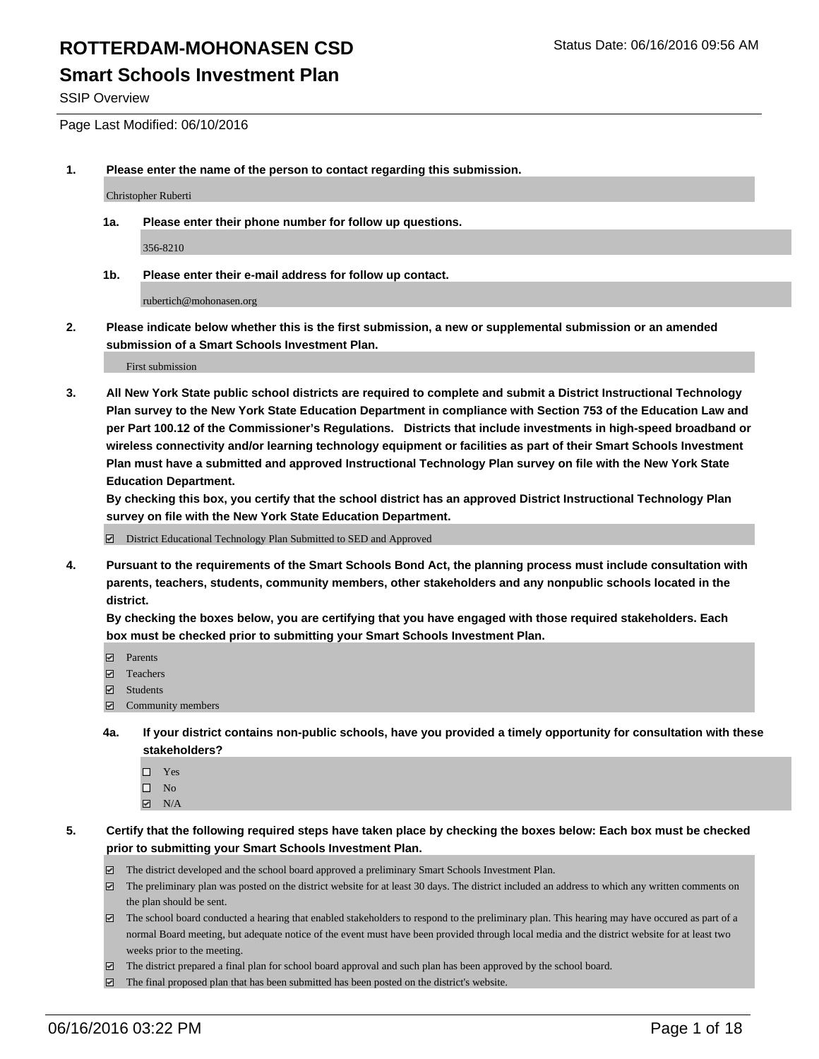### **Smart Schools Investment Plan**

SSIP Overview

Page Last Modified: 06/10/2016

**1. Please enter the name of the person to contact regarding this submission.**

Christopher Ruberti

**1a. Please enter their phone number for follow up questions.**

356-8210

**1b. Please enter their e-mail address for follow up contact.**

rubertich@mohonasen.org

**2. Please indicate below whether this is the first submission, a new or supplemental submission or an amended submission of a Smart Schools Investment Plan.**

First submission

**3. All New York State public school districts are required to complete and submit a District Instructional Technology Plan survey to the New York State Education Department in compliance with Section 753 of the Education Law and per Part 100.12 of the Commissioner's Regulations. Districts that include investments in high-speed broadband or wireless connectivity and/or learning technology equipment or facilities as part of their Smart Schools Investment Plan must have a submitted and approved Instructional Technology Plan survey on file with the New York State Education Department.** 

**By checking this box, you certify that the school district has an approved District Instructional Technology Plan survey on file with the New York State Education Department.**

District Educational Technology Plan Submitted to SED and Approved

**4. Pursuant to the requirements of the Smart Schools Bond Act, the planning process must include consultation with parents, teachers, students, community members, other stakeholders and any nonpublic schools located in the district.** 

**By checking the boxes below, you are certifying that you have engaged with those required stakeholders. Each box must be checked prior to submitting your Smart Schools Investment Plan.**

- **Parents**
- □ Teachers
- $\blacksquare$  Students
- Community members
- **4a. If your district contains non-public schools, have you provided a timely opportunity for consultation with these stakeholders?**
	- $\Box$  Yes  $\square$  No
	- $\boxtimes$  N/A
- **5. Certify that the following required steps have taken place by checking the boxes below: Each box must be checked prior to submitting your Smart Schools Investment Plan.**
	- The district developed and the school board approved a preliminary Smart Schools Investment Plan.
	- $\Box$  The preliminary plan was posted on the district website for at least 30 days. The district included an address to which any written comments on the plan should be sent.
	- $\Box$  The school board conducted a hearing that enabled stakeholders to respond to the preliminary plan. This hearing may have occured as part of a normal Board meeting, but adequate notice of the event must have been provided through local media and the district website for at least two weeks prior to the meeting.
	- The district prepared a final plan for school board approval and such plan has been approved by the school board.
	- $\boxdot$  The final proposed plan that has been submitted has been posted on the district's website.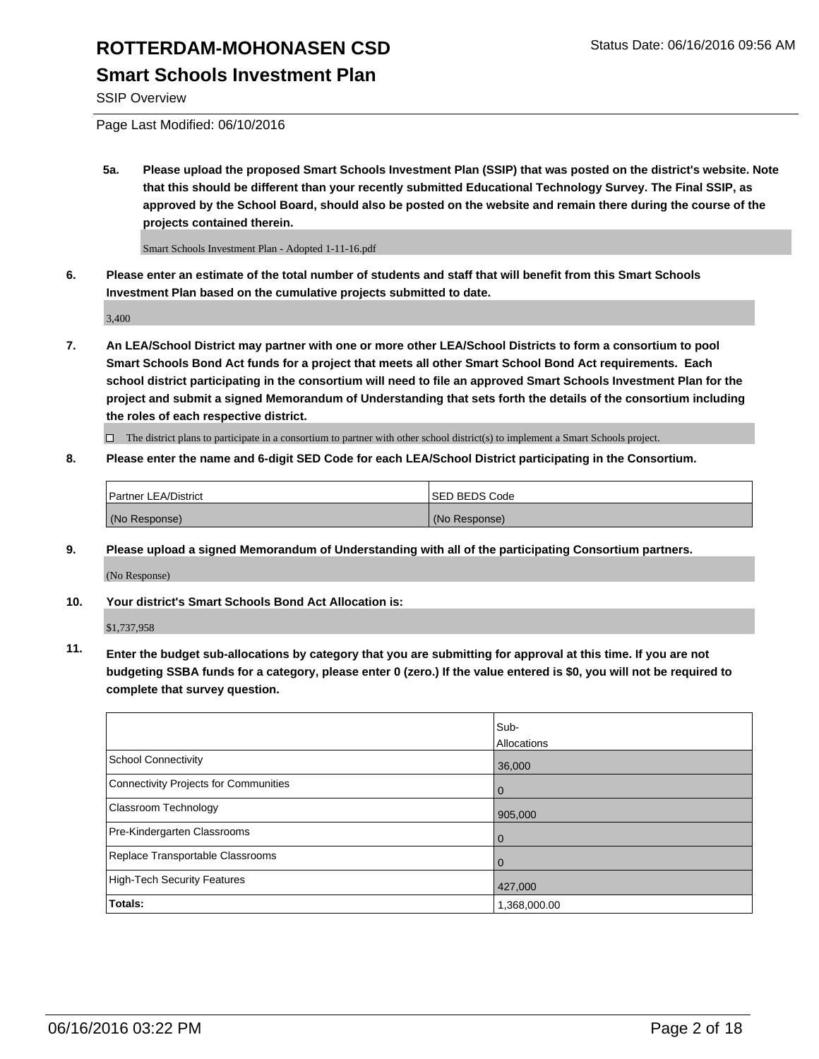## **ROTTERDAM-MOHONASEN CSD** Status Date: 06/16/2016 09:56 AM **Smart Schools Investment Plan**

SSIP Overview

Page Last Modified: 06/10/2016

**5a. Please upload the proposed Smart Schools Investment Plan (SSIP) that was posted on the district's website. Note that this should be different than your recently submitted Educational Technology Survey. The Final SSIP, as approved by the School Board, should also be posted on the website and remain there during the course of the projects contained therein.**

Smart Schools Investment Plan - Adopted 1-11-16.pdf

**6. Please enter an estimate of the total number of students and staff that will benefit from this Smart Schools Investment Plan based on the cumulative projects submitted to date.**

3,400

**7. An LEA/School District may partner with one or more other LEA/School Districts to form a consortium to pool Smart Schools Bond Act funds for a project that meets all other Smart School Bond Act requirements. Each school district participating in the consortium will need to file an approved Smart Schools Investment Plan for the project and submit a signed Memorandum of Understanding that sets forth the details of the consortium including the roles of each respective district.**

 $\Box$  The district plans to participate in a consortium to partner with other school district(s) to implement a Smart Schools project.

**8. Please enter the name and 6-digit SED Code for each LEA/School District participating in the Consortium.**

| <b>Partner LEA/District</b> | ISED BEDS Code |
|-----------------------------|----------------|
| (No Response)               | (No Response)  |

**9. Please upload a signed Memorandum of Understanding with all of the participating Consortium partners.**

(No Response)

**10. Your district's Smart Schools Bond Act Allocation is:**

\$1,737,958

**11. Enter the budget sub-allocations by category that you are submitting for approval at this time. If you are not budgeting SSBA funds for a category, please enter 0 (zero.) If the value entered is \$0, you will not be required to complete that survey question.**

|                                       | Sub-         |
|---------------------------------------|--------------|
|                                       | Allocations  |
| <b>School Connectivity</b>            | 36,000       |
| Connectivity Projects for Communities | $\Omega$     |
| <b>Classroom Technology</b>           | 905,000      |
| Pre-Kindergarten Classrooms           | $\Omega$     |
| Replace Transportable Classrooms      | $\Omega$     |
| High-Tech Security Features           | 427,000      |
| Totals:                               | 1,368,000.00 |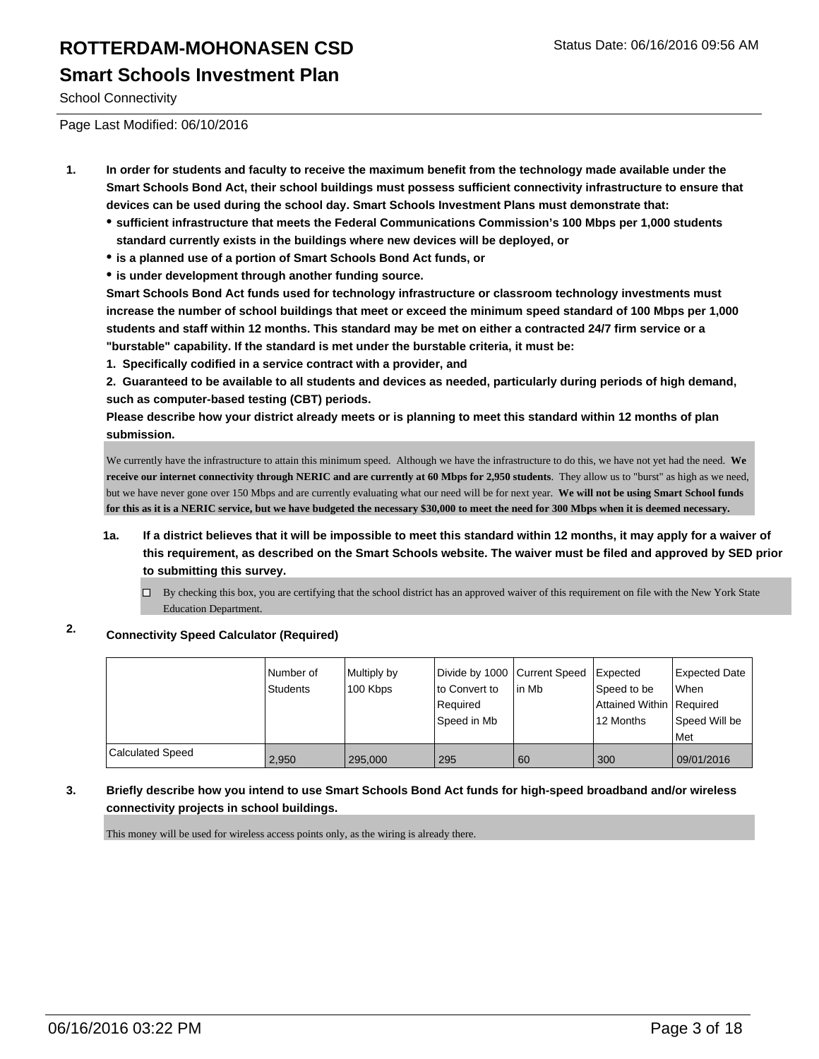School Connectivity

Page Last Modified: 06/10/2016

- **1. In order for students and faculty to receive the maximum benefit from the technology made available under the Smart Schools Bond Act, their school buildings must possess sufficient connectivity infrastructure to ensure that devices can be used during the school day. Smart Schools Investment Plans must demonstrate that:**
	- **sufficient infrastructure that meets the Federal Communications Commission's 100 Mbps per 1,000 students standard currently exists in the buildings where new devices will be deployed, or**
	- **is a planned use of a portion of Smart Schools Bond Act funds, or**
	- **is under development through another funding source.**

**Smart Schools Bond Act funds used for technology infrastructure or classroom technology investments must increase the number of school buildings that meet or exceed the minimum speed standard of 100 Mbps per 1,000 students and staff within 12 months. This standard may be met on either a contracted 24/7 firm service or a "burstable" capability. If the standard is met under the burstable criteria, it must be:**

**1. Specifically codified in a service contract with a provider, and**

**2. Guaranteed to be available to all students and devices as needed, particularly during periods of high demand, such as computer-based testing (CBT) periods.**

**Please describe how your district already meets or is planning to meet this standard within 12 months of plan submission.**

We currently have the infrastructure to attain this minimum speed. Although we have the infrastructure to do this, we have not yet had the need. **We receive our internet connectivity through NERIC and are currently at 60 Mbps for 2,950 students**. They allow us to "burst" as high as we need, but we have never gone over 150 Mbps and are currently evaluating what our need will be for next year. **We will not be using Smart School funds for this as it is a NERIC service, but we have budgeted the necessary \$30,000 to meet the need for 300 Mbps when it is deemed necessary.**

- **1a. If a district believes that it will be impossible to meet this standard within 12 months, it may apply for a waiver of this requirement, as described on the Smart Schools website. The waiver must be filed and approved by SED prior to submitting this survey.**
	- $\Box$  By checking this box, you are certifying that the school district has an approved waiver of this requirement on file with the New York State Education Department.

### **2. Connectivity Speed Calculator (Required)**

|                         | Number of<br><b>Students</b> | Multiply by<br>100 Kbps | Divide by 1000 Current Speed<br>to Convert to<br>Required<br>lSpeed in Mb | lin Mb | <b>Expected</b><br>Speed to be<br>Attained Within Required<br>12 Months | <b>Expected Date</b><br><b>When</b><br>Speed Will be<br>l Met |
|-------------------------|------------------------------|-------------------------|---------------------------------------------------------------------------|--------|-------------------------------------------------------------------------|---------------------------------------------------------------|
| <b>Calculated Speed</b> | 2,950                        | 295,000                 | 295                                                                       | 60     | 300                                                                     | 09/01/2016                                                    |

#### **3. Briefly describe how you intend to use Smart Schools Bond Act funds for high-speed broadband and/or wireless connectivity projects in school buildings.**

This money will be used for wireless access points only, as the wiring is already there.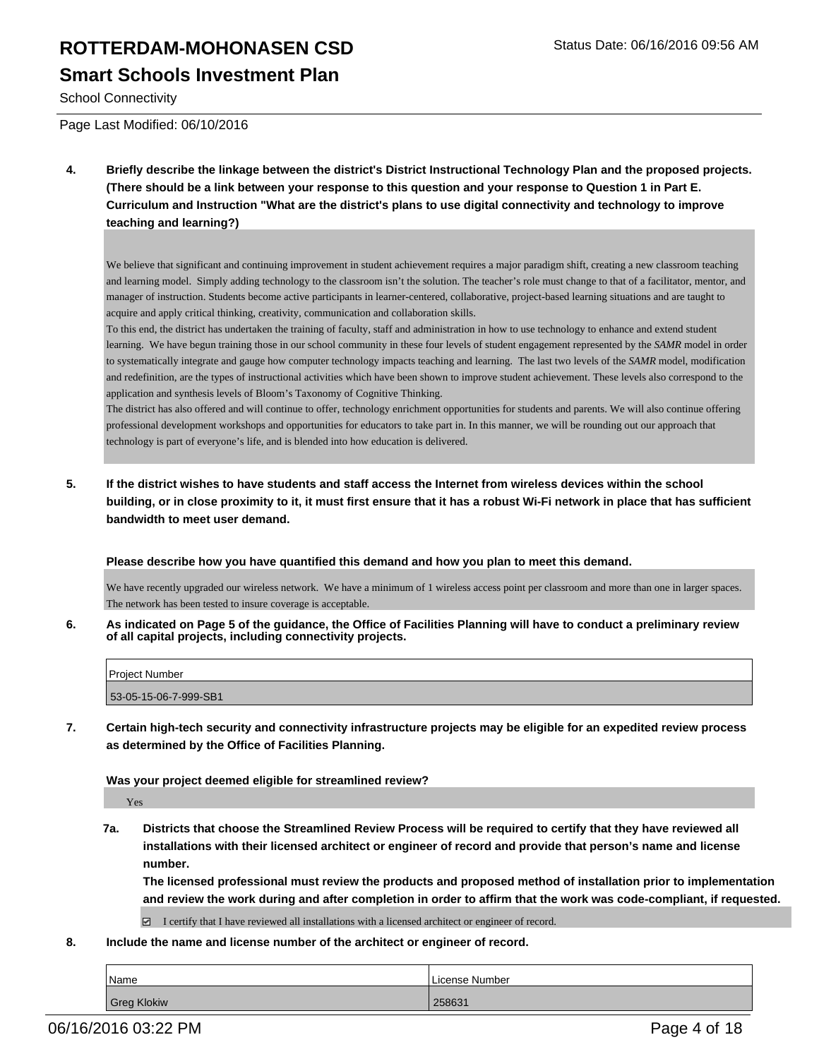## **ROTTERDAM-MOHONASEN CSD** Status Date: 06/16/2016 09:56 AM **Smart Schools Investment Plan**

School Connectivity

Page Last Modified: 06/10/2016

**4. Briefly describe the linkage between the district's District Instructional Technology Plan and the proposed projects. (There should be a link between your response to this question and your response to Question 1 in Part E. Curriculum and Instruction "What are the district's plans to use digital connectivity and technology to improve teaching and learning?)**

We believe that significant and continuing improvement in student achievement requires a major paradigm shift, creating a new classroom teaching and learning model. Simply adding technology to the classroom isn't the solution. The teacher's role must change to that of a facilitator, mentor, and manager of instruction. Students become active participants in learner-centered, collaborative, project-based learning situations and are taught to acquire and apply critical thinking, creativity, communication and collaboration skills.

To this end, the district has undertaken the training of faculty, staff and administration in how to use technology to enhance and extend student learning. We have begun training those in our school community in these four levels of student engagement represented by the *SAMR* model in order to systematically integrate and gauge how computer technology impacts teaching and learning. The last two levels of the *SAMR* model, modification and redefinition, are the types of instructional activities which have been shown to improve student achievement. These levels also correspond to the application and synthesis levels of Bloom's Taxonomy of Cognitive Thinking.

The district has also offered and will continue to offer, technology enrichment opportunities for students and parents. We will also continue offering professional development workshops and opportunities for educators to take part in. In this manner, we will be rounding out our approach that technology is part of everyone's life, and is blended into how education is delivered.

**5. If the district wishes to have students and staff access the Internet from wireless devices within the school building, or in close proximity to it, it must first ensure that it has a robust Wi-Fi network in place that has sufficient bandwidth to meet user demand.**

#### **Please describe how you have quantified this demand and how you plan to meet this demand.**

We have recently upgraded our wireless network. We have a minimum of 1 wireless access point per classroom and more than one in larger spaces. The network has been tested to insure coverage is acceptable.

**6. As indicated on Page 5 of the guidance, the Office of Facilities Planning will have to conduct a preliminary review of all capital projects, including connectivity projects.**

| Project Number        |  |
|-----------------------|--|
| 53-05-15-06-7-999-SB1 |  |

**7. Certain high-tech security and connectivity infrastructure projects may be eligible for an expedited review process as determined by the Office of Facilities Planning.**

#### **Was your project deemed eligible for streamlined review?**

Yes

**7a. Districts that choose the Streamlined Review Process will be required to certify that they have reviewed all installations with their licensed architect or engineer of record and provide that person's name and license number.**

**The licensed professional must review the products and proposed method of installation prior to implementation and review the work during and after completion in order to affirm that the work was code-compliant, if requested.**

 $\Box$  I certify that I have reviewed all installations with a licensed architect or engineer of record.

**8. Include the name and license number of the architect or engineer of record.**

| Name        | License Number |
|-------------|----------------|
| Greg Klokiw | 258631         |

06/16/2016 03:22 PM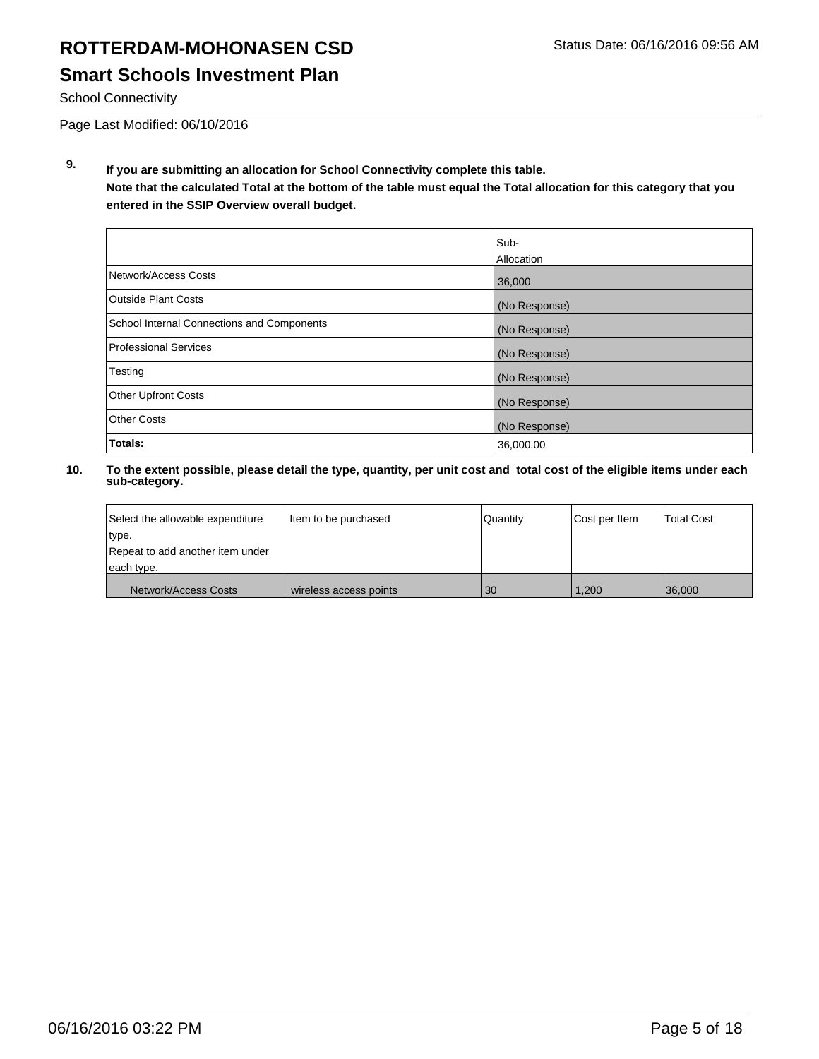## **ROTTERDAM-MOHONASEN CSD** Status Date: 06/16/2016 09:56 AM **Smart Schools Investment Plan**

School Connectivity

Page Last Modified: 06/10/2016

**9. If you are submitting an allocation for School Connectivity complete this table. Note that the calculated Total at the bottom of the table must equal the Total allocation for this category that you entered in the SSIP Overview overall budget.** 

|                                                   | Sub-<br>Allocation |
|---------------------------------------------------|--------------------|
| Network/Access Costs                              | 36,000             |
| Outside Plant Costs                               | (No Response)      |
| <b>School Internal Connections and Components</b> | (No Response)      |
| Professional Services                             | (No Response)      |
| Testing                                           | (No Response)      |
| <b>Other Upfront Costs</b>                        | (No Response)      |
| Other Costs                                       | (No Response)      |
| Totals:                                           | 36,000.00          |

| Select the allowable expenditure | litem to be purchased  | Quantity | Cost per Item | <b>Total Cost</b> |
|----------------------------------|------------------------|----------|---------------|-------------------|
| type.                            |                        |          |               |                   |
| Repeat to add another item under |                        |          |               |                   |
| each type.                       |                        |          |               |                   |
| Network/Access Costs             | wireless access points | 30       | 1,200         | 36,000            |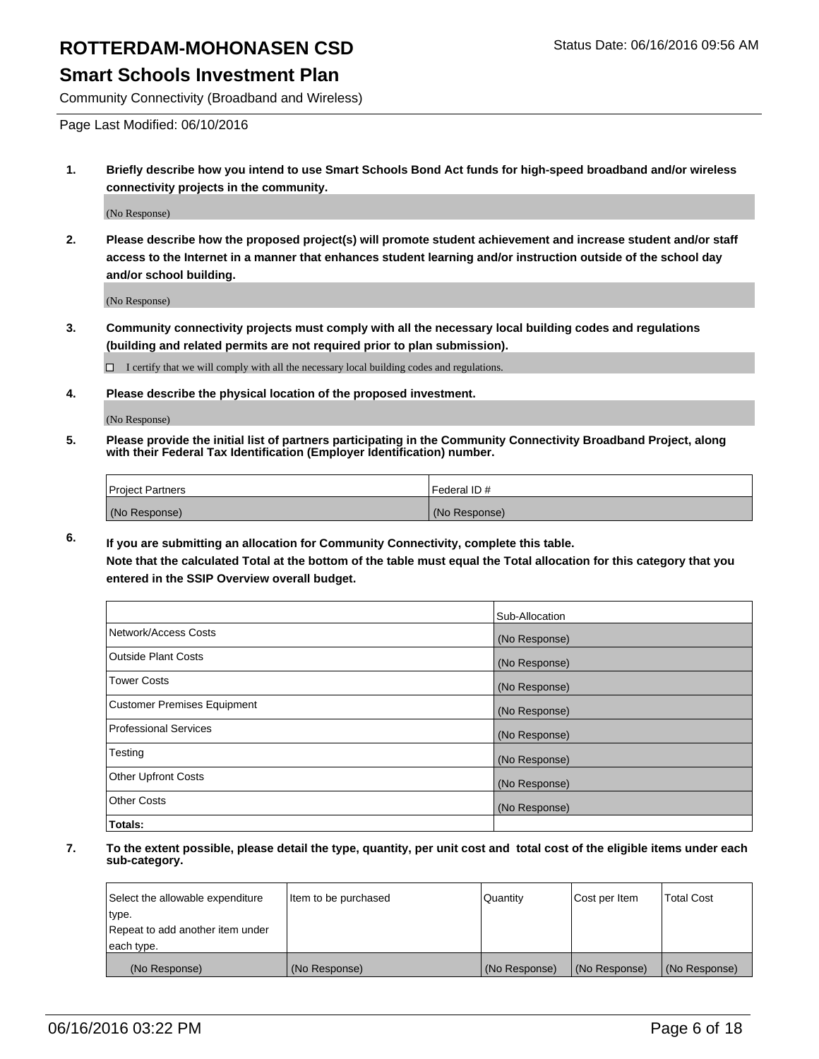### **Smart Schools Investment Plan**

Community Connectivity (Broadband and Wireless)

Page Last Modified: 06/10/2016

**1. Briefly describe how you intend to use Smart Schools Bond Act funds for high-speed broadband and/or wireless connectivity projects in the community.**

(No Response)

**2. Please describe how the proposed project(s) will promote student achievement and increase student and/or staff access to the Internet in a manner that enhances student learning and/or instruction outside of the school day and/or school building.**

(No Response)

**3. Community connectivity projects must comply with all the necessary local building codes and regulations (building and related permits are not required prior to plan submission).**

 $\Box$  I certify that we will comply with all the necessary local building codes and regulations.

**4. Please describe the physical location of the proposed investment.**

(No Response)

**5. Please provide the initial list of partners participating in the Community Connectivity Broadband Project, along with their Federal Tax Identification (Employer Identification) number.**

| Project Partners | <b>IFederal ID#</b> |
|------------------|---------------------|
| (No Response)    | (No Response)       |

**6. If you are submitting an allocation for Community Connectivity, complete this table.**

**Note that the calculated Total at the bottom of the table must equal the Total allocation for this category that you entered in the SSIP Overview overall budget.**

|                             | Sub-Allocation |
|-----------------------------|----------------|
| Network/Access Costs        | (No Response)  |
| Outside Plant Costs         | (No Response)  |
| <b>Tower Costs</b>          | (No Response)  |
| Customer Premises Equipment | (No Response)  |
| Professional Services       | (No Response)  |
| Testing                     | (No Response)  |
| Other Upfront Costs         | (No Response)  |
| Other Costs                 | (No Response)  |
| Totals:                     |                |

| Select the allowable expenditure | Item to be purchased | Quantity      | Cost per Item | <b>Total Cost</b> |
|----------------------------------|----------------------|---------------|---------------|-------------------|
| type.                            |                      |               |               |                   |
| Repeat to add another item under |                      |               |               |                   |
| each type.                       |                      |               |               |                   |
| (No Response)                    | (No Response)        | (No Response) | (No Response) | (No Response)     |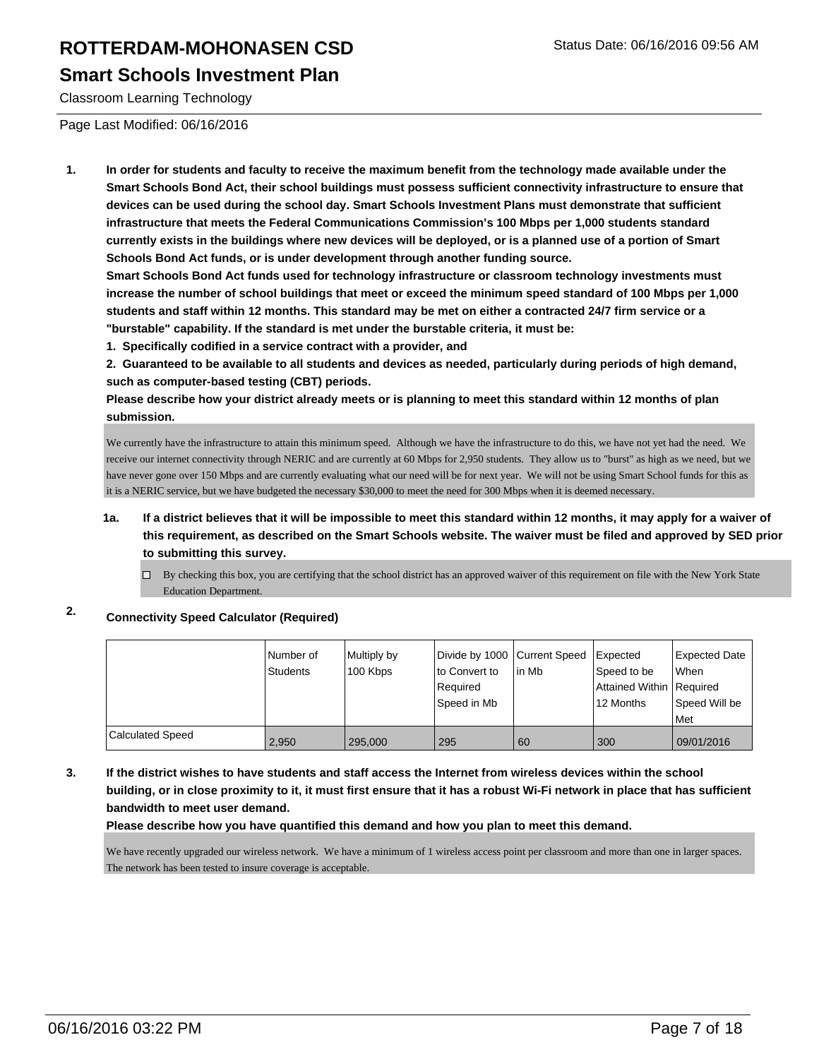### **Smart Schools Investment Plan**

Classroom Learning Technology

Page Last Modified: 06/16/2016

**1. In order for students and faculty to receive the maximum benefit from the technology made available under the Smart Schools Bond Act, their school buildings must possess sufficient connectivity infrastructure to ensure that devices can be used during the school day. Smart Schools Investment Plans must demonstrate that sufficient infrastructure that meets the Federal Communications Commission's 100 Mbps per 1,000 students standard currently exists in the buildings where new devices will be deployed, or is a planned use of a portion of Smart Schools Bond Act funds, or is under development through another funding source.**

**Smart Schools Bond Act funds used for technology infrastructure or classroom technology investments must increase the number of school buildings that meet or exceed the minimum speed standard of 100 Mbps per 1,000 students and staff within 12 months. This standard may be met on either a contracted 24/7 firm service or a "burstable" capability. If the standard is met under the burstable criteria, it must be:**

**1. Specifically codified in a service contract with a provider, and**

**2. Guaranteed to be available to all students and devices as needed, particularly during periods of high demand, such as computer-based testing (CBT) periods.**

**Please describe how your district already meets or is planning to meet this standard within 12 months of plan submission.**

We currently have the infrastructure to attain this minimum speed. Although we have the infrastructure to do this, we have not yet had the need. We receive our internet connectivity through NERIC and are currently at 60 Mbps for 2,950 students. They allow us to "burst" as high as we need, but we have never gone over 150 Mbps and are currently evaluating what our need will be for next year. We will not be using Smart School funds for this as it is a NERIC service, but we have budgeted the necessary \$30,000 to meet the need for 300 Mbps when it is deemed necessary.

#### **1a. If a district believes that it will be impossible to meet this standard within 12 months, it may apply for a waiver of this requirement, as described on the Smart Schools website. The waiver must be filed and approved by SED prior to submitting this survey.**

 $\Box$  By checking this box, you are certifying that the school district has an approved waiver of this requirement on file with the New York State Education Department.

### **2. Connectivity Speed Calculator (Required)**

|                         | Number of<br><b>Students</b> | Multiply by<br>100 Kbps | Divide by 1000 Current Speed<br>to Convert to<br>Required<br>Speed in Mb | lin Mb | Expected<br>Speed to be<br>Attained Within   Required<br>12 Months | Expected Date<br><b>When</b><br>Speed Will be<br>Met |
|-------------------------|------------------------------|-------------------------|--------------------------------------------------------------------------|--------|--------------------------------------------------------------------|------------------------------------------------------|
| <b>Calculated Speed</b> | 2,950                        | 295,000                 | 295                                                                      | 60     | 300                                                                | 09/01/2016                                           |

#### **3. If the district wishes to have students and staff access the Internet from wireless devices within the school building, or in close proximity to it, it must first ensure that it has a robust Wi-Fi network in place that has sufficient bandwidth to meet user demand.**

**Please describe how you have quantified this demand and how you plan to meet this demand.**

We have recently upgraded our wireless network. We have a minimum of 1 wireless access point per classroom and more than one in larger spaces. The network has been tested to insure coverage is acceptable.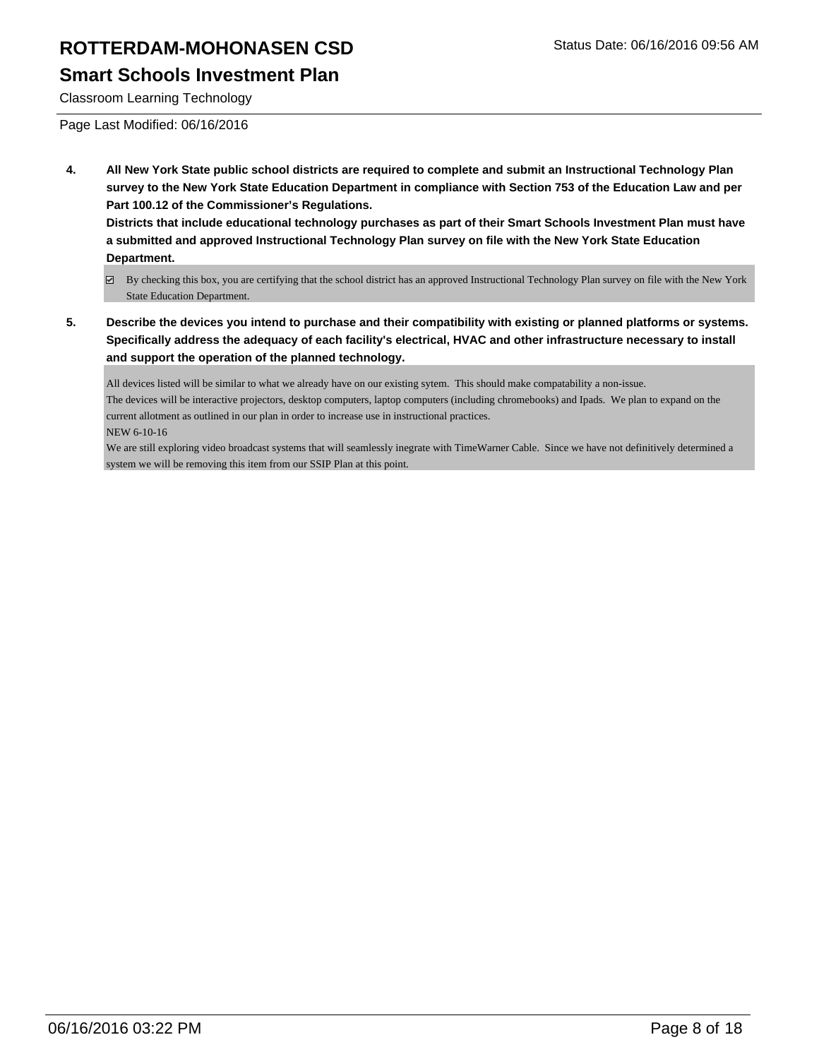### **Smart Schools Investment Plan**

Classroom Learning Technology

Page Last Modified: 06/16/2016

**4. All New York State public school districts are required to complete and submit an Instructional Technology Plan survey to the New York State Education Department in compliance with Section 753 of the Education Law and per Part 100.12 of the Commissioner's Regulations.**

**Districts that include educational technology purchases as part of their Smart Schools Investment Plan must have a submitted and approved Instructional Technology Plan survey on file with the New York State Education Department.**

**5. Describe the devices you intend to purchase and their compatibility with existing or planned platforms or systems. Specifically address the adequacy of each facility's electrical, HVAC and other infrastructure necessary to install and support the operation of the planned technology.**

All devices listed will be similar to what we already have on our existing sytem. This should make compatability a non-issue. The devices will be interactive projectors, desktop computers, laptop computers (including chromebooks) and Ipads. We plan to expand on the current allotment as outlined in our plan in order to increase use in instructional practices. NEW 6-10-16

We are still exploring video broadcast systems that will seamlessly inegrate with TimeWarner Cable. Since we have not definitively determined a system we will be removing this item from our SSIP Plan at this point.

By checking this box, you are certifying that the school district has an approved Instructional Technology Plan survey on file with the New York State Education Department.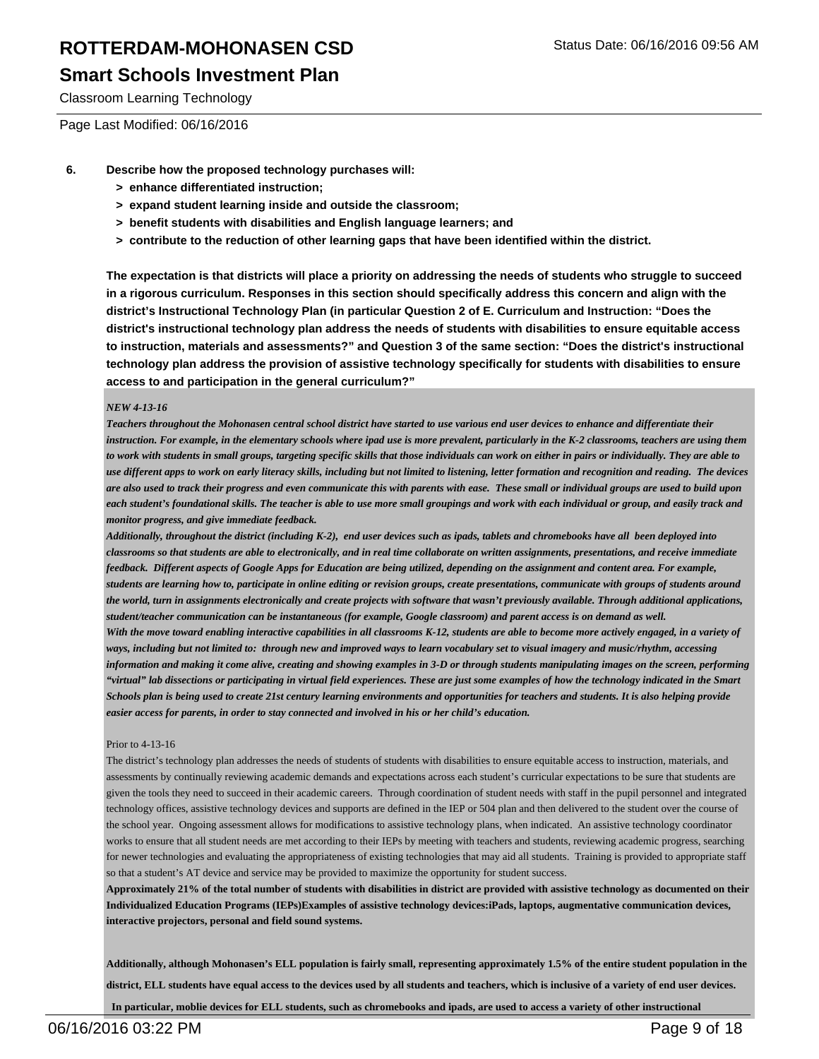### **Smart Schools Investment Plan**

Classroom Learning Technology

Page Last Modified: 06/16/2016

- **6. Describe how the proposed technology purchases will:**
	- **> enhance differentiated instruction;**
	- **> expand student learning inside and outside the classroom;**
	- **> benefit students with disabilities and English language learners; and**
	- **> contribute to the reduction of other learning gaps that have been identified within the district.**

**The expectation is that districts will place a priority on addressing the needs of students who struggle to succeed in a rigorous curriculum. Responses in this section should specifically address this concern and align with the district's Instructional Technology Plan (in particular Question 2 of E. Curriculum and Instruction: "Does the district's instructional technology plan address the needs of students with disabilities to ensure equitable access to instruction, materials and assessments?" and Question 3 of the same section: "Does the district's instructional technology plan address the provision of assistive technology specifically for students with disabilities to ensure access to and participation in the general curriculum?"**

#### *NEW 4-13-16*

*Teachers throughout the Mohonasen central school district have started to use various end user devices to enhance and differentiate their instruction. For example, in the elementary schools where ipad use is more prevalent, particularly in the K-2 classrooms, teachers are using them to work with students in small groups, targeting specific skills that those individuals can work on either in pairs or individually. They are able to use different apps to work on early literacy skills, including but not limited to listening, letter formation and recognition and reading. The devices are also used to track their progress and even communicate this with parents with ease. These small or individual groups are used to build upon each student's foundational skills. The teacher is able to use more small groupings and work with each individual or group, and easily track and monitor progress, and give immediate feedback.* 

*Additionally, throughout the district (including K-2), end user devices such as ipads, tablets and chromebooks have all been deployed into classrooms so that students are able to electronically, and in real time collaborate on written assignments, presentations, and receive immediate feedback. Different aspects of Google Apps for Education are being utilized, depending on the assignment and content area. For example, students are learning how to, participate in online editing or revision groups, create presentations, communicate with groups of students around the world, turn in assignments electronically and create projects with software that wasn't previously available. Through additional applications, student/teacher communication can be instantaneous (for example, Google classroom) and parent access is on demand as well. With the move toward enabling interactive capabilities in all classrooms K-12, students are able to become more actively engaged, in a variety of ways, including but not limited to: through new and improved ways to learn vocabulary set to visual imagery and music/rhythm, accessing information and making it come alive, creating and showing examples in 3-D or through students manipulating images on the screen, performing "virtual" lab dissections or participating in virtual field experiences. These are just some examples of how the technology indicated in the Smart Schools plan is being used to create 21st century learning environments and opportunities for teachers and students. It is also helping provide easier access for parents, in order to stay connected and involved in his or her child's education.*

#### Prior to 4-13-16

The district's technology plan addresses the needs of students of students with disabilities to ensure equitable access to instruction, materials, and assessments by continually reviewing academic demands and expectations across each student's curricular expectations to be sure that students are given the tools they need to succeed in their academic careers. Through coordination of student needs with staff in the pupil personnel and integrated technology offices, assistive technology devices and supports are defined in the IEP or 504 plan and then delivered to the student over the course of the school year. Ongoing assessment allows for modifications to assistive technology plans, when indicated. An assistive technology coordinator works to ensure that all student needs are met according to their IEPs by meeting with teachers and students, reviewing academic progress, searching for newer technologies and evaluating the appropriateness of existing technologies that may aid all students. Training is provided to appropriate staff so that a student's AT device and service may be provided to maximize the opportunity for student success.

**Approximately 21% of the total number of students with disabilities in district are provided with assistive technology as documented on their Individualized Education Programs (IEPs)Examples of assistive technology devices:iPads, laptops, augmentative communication devices, interactive projectors, personal and field sound systems.**

**Additionally, although Mohonasen's ELL population is fairly small, representing approximately 1.5% of the entire student population in the district, ELL students have equal access to the devices used by all students and teachers, which is inclusive of a variety of end user devices. In particular, moblie devices for ELL students, such as chromebooks and ipads, are used to access a variety of other instructional**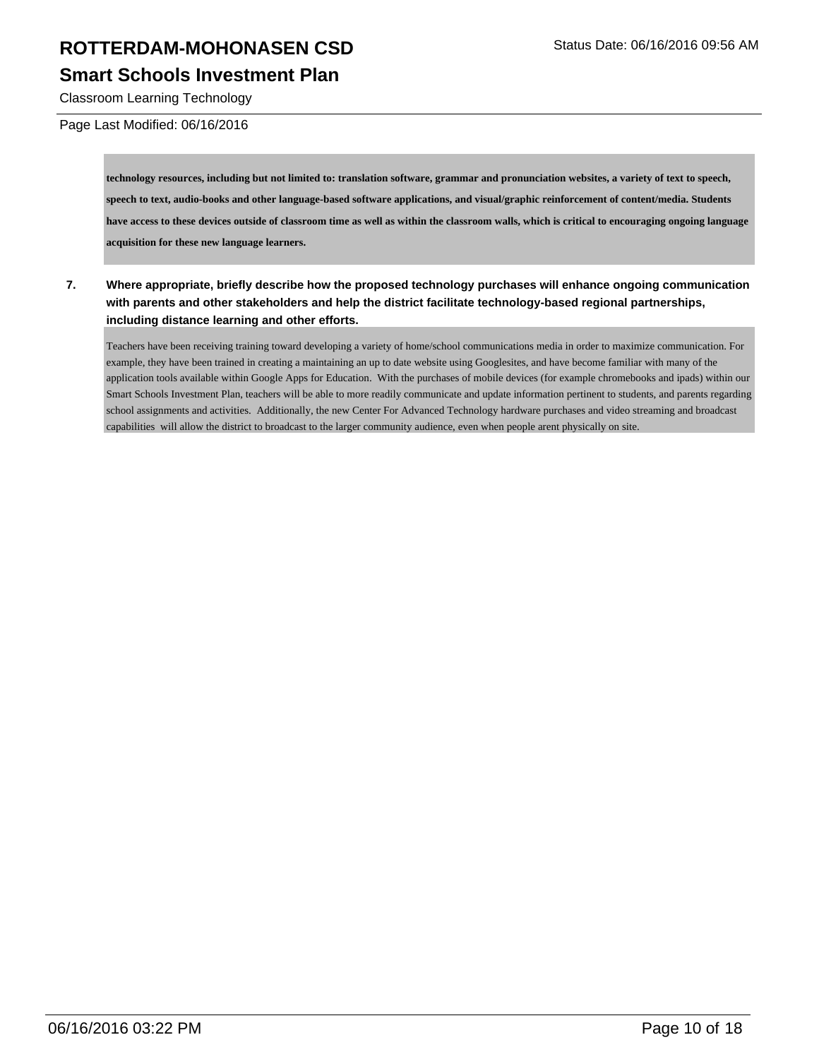### **Smart Schools Investment Plan**

Classroom Learning Technology

#### Page Last Modified: 06/16/2016

**technology resources, including but not limited to: translation software, grammar and pronunciation websites, a variety of text to speech, speech to text, audio-books and other language-based software applications, and visual/graphic reinforcement of content/media. Students have access to these devices outside of classroom time as well as within the classroom walls, which is critical to encouraging ongoing language acquisition for these new language learners.**

**7. Where appropriate, briefly describe how the proposed technology purchases will enhance ongoing communication with parents and other stakeholders and help the district facilitate technology-based regional partnerships, including distance learning and other efforts.**

Teachers have been receiving training toward developing a variety of home/school communications media in order to maximize communication. For example, they have been trained in creating a maintaining an up to date website using Googlesites, and have become familiar with many of the application tools available within Google Apps for Education. With the purchases of mobile devices (for example chromebooks and ipads) within our Smart Schools Investment Plan, teachers will be able to more readily communicate and update information pertinent to students, and parents regarding school assignments and activities. Additionally, the new Center For Advanced Technology hardware purchases and video streaming and broadcast capabilities will allow the district to broadcast to the larger community audience, even when people arent physically on site.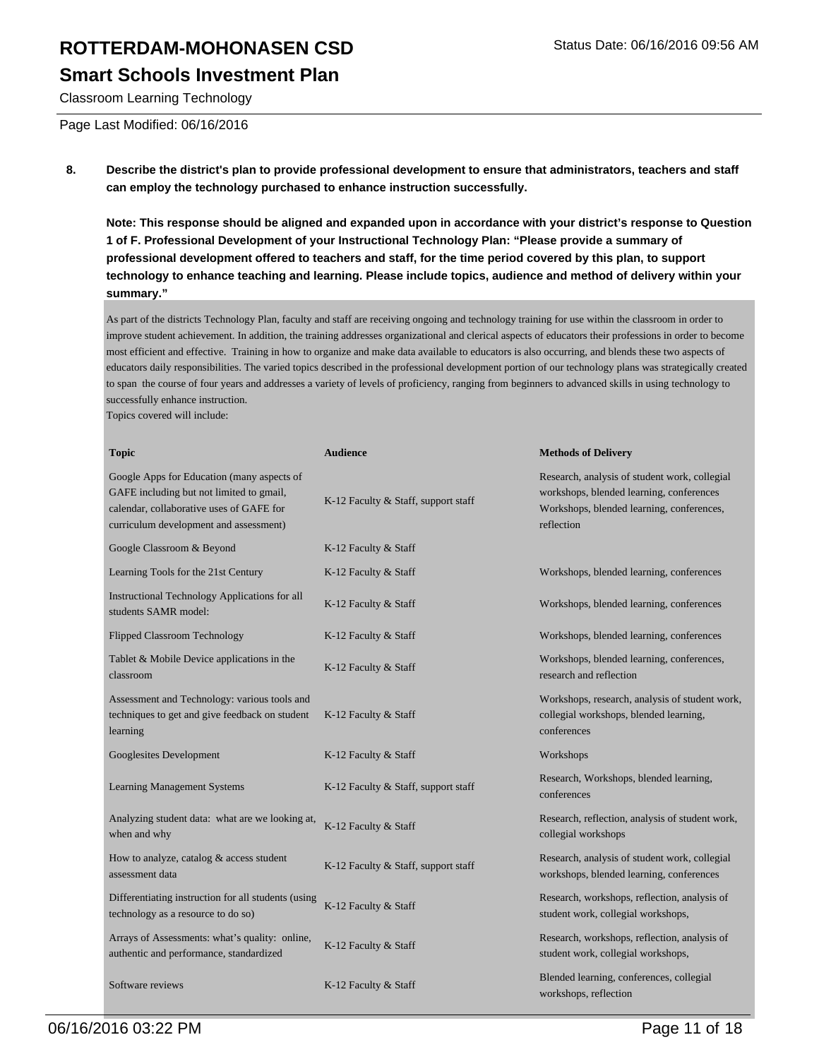### **Smart Schools Investment Plan**

Classroom Learning Technology

Page Last Modified: 06/16/2016

**8. Describe the district's plan to provide professional development to ensure that administrators, teachers and staff can employ the technology purchased to enhance instruction successfully.**

**Note: This response should be aligned and expanded upon in accordance with your district's response to Question 1 of F. Professional Development of your Instructional Technology Plan: "Please provide a summary of professional development offered to teachers and staff, for the time period covered by this plan, to support technology to enhance teaching and learning. Please include topics, audience and method of delivery within your summary."**

As part of the districts Technology Plan, faculty and staff are receiving ongoing and technology training for use within the classroom in order to improve student achievement. In addition, the training addresses organizational and clerical aspects of educators their professions in order to become most efficient and effective. Training in how to organize and make data available to educators is also occurring, and blends these two aspects of educators daily responsibilities. The varied topics described in the professional development portion of our technology plans was strategically created to span the course of four years and addresses a variety of levels of proficiency, ranging from beginners to advanced skills in using technology to successfully enhance instruction.

Topics covered will include:

| <b>Topic</b>                                                                                                                                                                 | <b>Audience</b>                     | <b>Methods of Delivery</b>                                                                                                                           |
|------------------------------------------------------------------------------------------------------------------------------------------------------------------------------|-------------------------------------|------------------------------------------------------------------------------------------------------------------------------------------------------|
| Google Apps for Education (many aspects of<br>GAFE including but not limited to gmail,<br>calendar, collaborative uses of GAFE for<br>curriculum development and assessment) | K-12 Faculty & Staff, support staff | Research, analysis of student work, collegial<br>workshops, blended learning, conferences<br>Workshops, blended learning, conferences,<br>reflection |
| Google Classroom & Beyond                                                                                                                                                    | K-12 Faculty & Staff                |                                                                                                                                                      |
| Learning Tools for the 21st Century                                                                                                                                          | K-12 Faculty & Staff                | Workshops, blended learning, conferences                                                                                                             |
| <b>Instructional Technology Applications for all</b><br>students SAMR model:                                                                                                 | K-12 Faculty & Staff                | Workshops, blended learning, conferences                                                                                                             |
| <b>Flipped Classroom Technology</b>                                                                                                                                          | K-12 Faculty & Staff                | Workshops, blended learning, conferences                                                                                                             |
| Tablet & Mobile Device applications in the<br>classroom                                                                                                                      | K-12 Faculty & Staff                | Workshops, blended learning, conferences,<br>research and reflection                                                                                 |
| Assessment and Technology: various tools and<br>techniques to get and give feedback on student<br>learning                                                                   | K-12 Faculty & Staff                | Workshops, research, analysis of student work,<br>collegial workshops, blended learning,<br>conferences                                              |
| Googlesites Development                                                                                                                                                      | K-12 Faculty & Staff                | Workshops                                                                                                                                            |
| <b>Learning Management Systems</b>                                                                                                                                           | K-12 Faculty & Staff, support staff | Research, Workshops, blended learning,<br>conferences                                                                                                |
| Analyzing student data: what are we looking at,<br>when and why                                                                                                              | K-12 Faculty & Staff                | Research, reflection, analysis of student work,<br>collegial workshops                                                                               |
| How to analyze, catalog $&$ access student<br>assessment data                                                                                                                | K-12 Faculty & Staff, support staff | Research, analysis of student work, collegial<br>workshops, blended learning, conferences                                                            |
| Differentiating instruction for all students (using<br>technology as a resource to do so)                                                                                    | K-12 Faculty & Staff                | Research, workshops, reflection, analysis of<br>student work, collegial workshops,                                                                   |
| Arrays of Assessments: what's quality: online,<br>authentic and performance, standardized                                                                                    | K-12 Faculty & Staff                | Research, workshops, reflection, analysis of<br>student work, collegial workshops,                                                                   |
| Software reviews                                                                                                                                                             | K-12 Faculty & Staff                | Blended learning, conferences, collegial<br>workshops, reflection                                                                                    |

06/16/2016 03:22 PM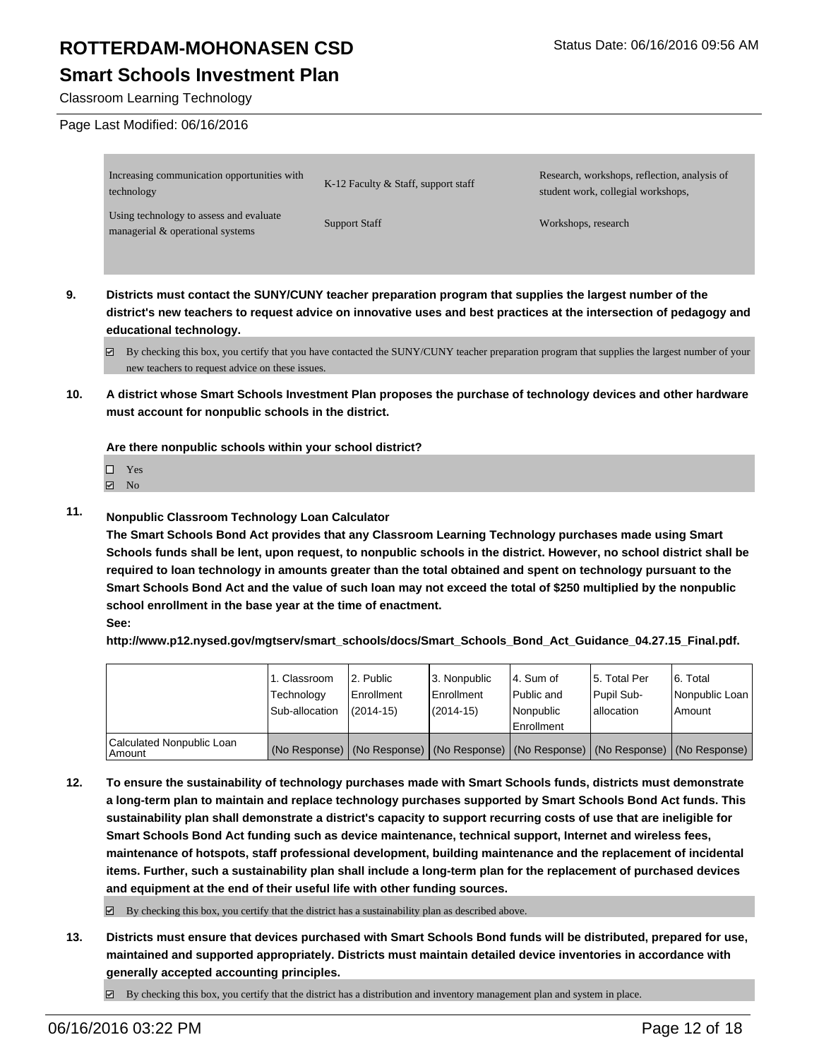### **Smart Schools Investment Plan**

#### Classroom Learning Technology

#### Page Last Modified: 06/16/2016

| Increasing communication opportunities with<br>technology                   | K-12 Faculty & Staff, support staff | Research, workshops, reflection, analysis of<br>student work, collegial workshops, |
|-----------------------------------------------------------------------------|-------------------------------------|------------------------------------------------------------------------------------|
| Using technology to assess and evaluate<br>managerial & operational systems | <b>Support Staff</b>                | Workshops, research                                                                |

- **9. Districts must contact the SUNY/CUNY teacher preparation program that supplies the largest number of the district's new teachers to request advice on innovative uses and best practices at the intersection of pedagogy and educational technology.**
	- $\boxtimes$  By checking this box, you certify that you have contacted the SUNY/CUNY teacher preparation program that supplies the largest number of your new teachers to request advice on these issues.
- **10. A district whose Smart Schools Investment Plan proposes the purchase of technology devices and other hardware must account for nonpublic schools in the district.**

**Are there nonpublic schools within your school district?**

 $\Box$  Yes

 $\boxtimes$  No

**11. Nonpublic Classroom Technology Loan Calculator**

**The Smart Schools Bond Act provides that any Classroom Learning Technology purchases made using Smart Schools funds shall be lent, upon request, to nonpublic schools in the district. However, no school district shall be required to loan technology in amounts greater than the total obtained and spent on technology pursuant to the Smart Schools Bond Act and the value of such loan may not exceed the total of \$250 multiplied by the nonpublic school enrollment in the base year at the time of enactment.**

#### **See:**

**http://www.p12.nysed.gov/mgtserv/smart\_schools/docs/Smart\_Schools\_Bond\_Act\_Guidance\_04.27.15\_Final.pdf.**

|                                     | 1. Classroom<br>Technology<br>Sub-allocation | 2. Public<br>Enrollment<br>$(2014 - 15)$ | 3. Nonpublic<br><b>Enrollment</b><br>(2014-15) | 4. Sum of<br>Public and<br>Nonpublic<br>Enrollment | 5. Total Per<br>Pupil Sub-<br>lallocation | 6. Total<br>Nonpublic Loan<br>Amount                                                          |
|-------------------------------------|----------------------------------------------|------------------------------------------|------------------------------------------------|----------------------------------------------------|-------------------------------------------|-----------------------------------------------------------------------------------------------|
| Calculated Nonpublic Loan<br>Amount |                                              |                                          |                                                |                                                    |                                           | (No Response)   (No Response)   (No Response)   (No Response)   (No Response)   (No Response) |

**12. To ensure the sustainability of technology purchases made with Smart Schools funds, districts must demonstrate a long-term plan to maintain and replace technology purchases supported by Smart Schools Bond Act funds. This sustainability plan shall demonstrate a district's capacity to support recurring costs of use that are ineligible for Smart Schools Bond Act funding such as device maintenance, technical support, Internet and wireless fees, maintenance of hotspots, staff professional development, building maintenance and the replacement of incidental items. Further, such a sustainability plan shall include a long-term plan for the replacement of purchased devices and equipment at the end of their useful life with other funding sources.**

 $\boxtimes$  By checking this box, you certify that the district has a sustainability plan as described above.

**13. Districts must ensure that devices purchased with Smart Schools Bond funds will be distributed, prepared for use, maintained and supported appropriately. Districts must maintain detailed device inventories in accordance with generally accepted accounting principles.**

 $\boxtimes$  By checking this box, you certify that the district has a distribution and inventory management plan and system in place.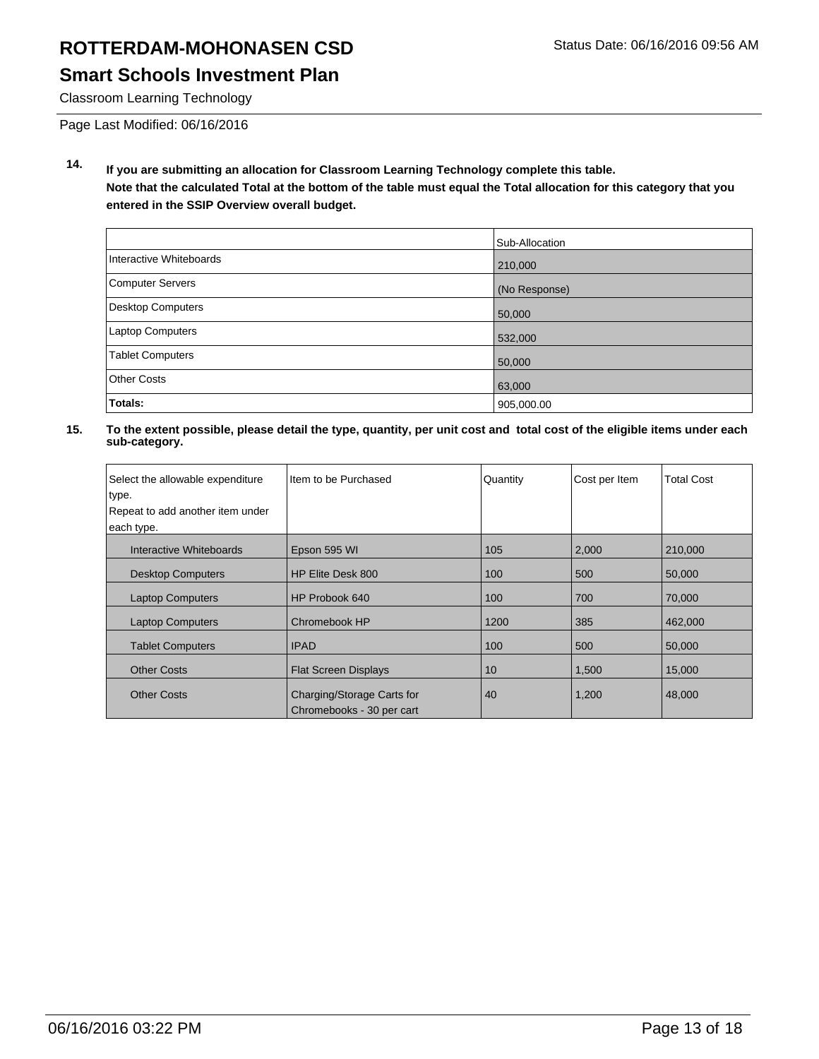### **Smart Schools Investment Plan**

Classroom Learning Technology

Page Last Modified: 06/16/2016

**14. If you are submitting an allocation for Classroom Learning Technology complete this table. Note that the calculated Total at the bottom of the table must equal the Total allocation for this category that you entered in the SSIP Overview overall budget.**

|                          | Sub-Allocation |
|--------------------------|----------------|
| Interactive Whiteboards  | 210,000        |
| Computer Servers         | (No Response)  |
| <b>Desktop Computers</b> | 50,000         |
| <b>Laptop Computers</b>  | 532,000        |
| <b>Tablet Computers</b>  | 50,000         |
| <b>Other Costs</b>       | 63,000         |
| Totals:                  | 905,000.00     |

| Select the allowable expenditure | I Item to be Purchased                                  | Quantity | Cost per Item | <b>Total Cost</b> |
|----------------------------------|---------------------------------------------------------|----------|---------------|-------------------|
| type.                            |                                                         |          |               |                   |
| Repeat to add another item under |                                                         |          |               |                   |
| each type.                       |                                                         |          |               |                   |
| Interactive Whiteboards          | Epson 595 WI                                            | 105      | 2,000         | 210,000           |
| <b>Desktop Computers</b>         | HP Elite Desk 800                                       | 100      | 500           | 50,000            |
| <b>Laptop Computers</b>          | HP Probook 640                                          | 100      | 700           | 70,000            |
| <b>Laptop Computers</b>          | Chromebook HP                                           | 1200     | 385           | 462,000           |
| <b>Tablet Computers</b>          | <b>IPAD</b>                                             | 100      | 500           | 50,000            |
| <b>Other Costs</b>               | <b>Flat Screen Displays</b>                             | 10       | 1,500         | 15,000            |
| <b>Other Costs</b>               | Charging/Storage Carts for<br>Chromebooks - 30 per cart | 40       | 1,200         | 48,000            |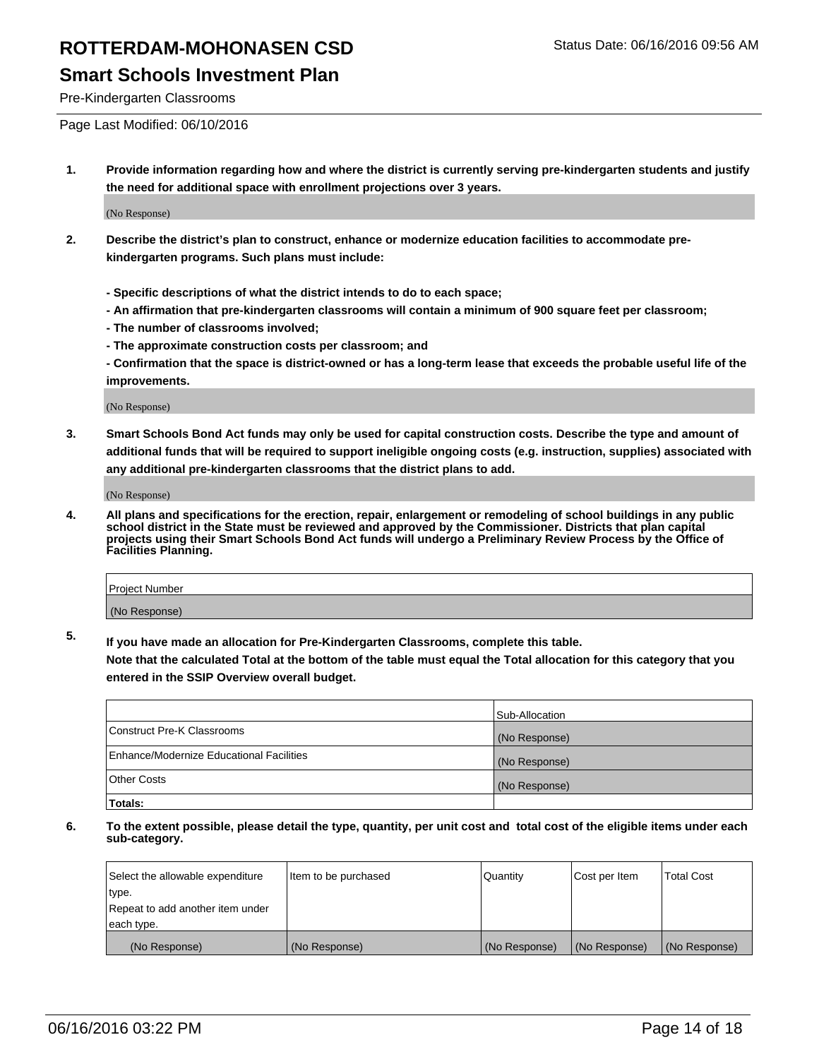### **Smart Schools Investment Plan**

Pre-Kindergarten Classrooms

Page Last Modified: 06/10/2016

**1. Provide information regarding how and where the district is currently serving pre-kindergarten students and justify the need for additional space with enrollment projections over 3 years.**

(No Response)

- **2. Describe the district's plan to construct, enhance or modernize education facilities to accommodate prekindergarten programs. Such plans must include:**
	- **Specific descriptions of what the district intends to do to each space;**
	- **An affirmation that pre-kindergarten classrooms will contain a minimum of 900 square feet per classroom;**
	- **The number of classrooms involved;**
	- **The approximate construction costs per classroom; and**
	- **Confirmation that the space is district-owned or has a long-term lease that exceeds the probable useful life of the improvements.**

(No Response)

**3. Smart Schools Bond Act funds may only be used for capital construction costs. Describe the type and amount of additional funds that will be required to support ineligible ongoing costs (e.g. instruction, supplies) associated with any additional pre-kindergarten classrooms that the district plans to add.**

(No Response)

**4. All plans and specifications for the erection, repair, enlargement or remodeling of school buildings in any public school district in the State must be reviewed and approved by the Commissioner. Districts that plan capital projects using their Smart Schools Bond Act funds will undergo a Preliminary Review Process by the Office of Facilities Planning.**

| Project Number |  |
|----------------|--|
| (No Response)  |  |

**5. If you have made an allocation for Pre-Kindergarten Classrooms, complete this table.**

**Note that the calculated Total at the bottom of the table must equal the Total allocation for this category that you entered in the SSIP Overview overall budget.**

|                                          | Sub-Allocation |
|------------------------------------------|----------------|
| Construct Pre-K Classrooms               | (No Response)  |
| Enhance/Modernize Educational Facilities | (No Response)  |
| Other Costs                              | (No Response)  |
| Totals:                                  |                |

| Select the allowable expenditure | Item to be purchased | Quantity      | Cost per Item | <b>Total Cost</b> |
|----------------------------------|----------------------|---------------|---------------|-------------------|
| type.                            |                      |               |               |                   |
| Repeat to add another item under |                      |               |               |                   |
| each type.                       |                      |               |               |                   |
| (No Response)                    | (No Response)        | (No Response) | (No Response) | (No Response)     |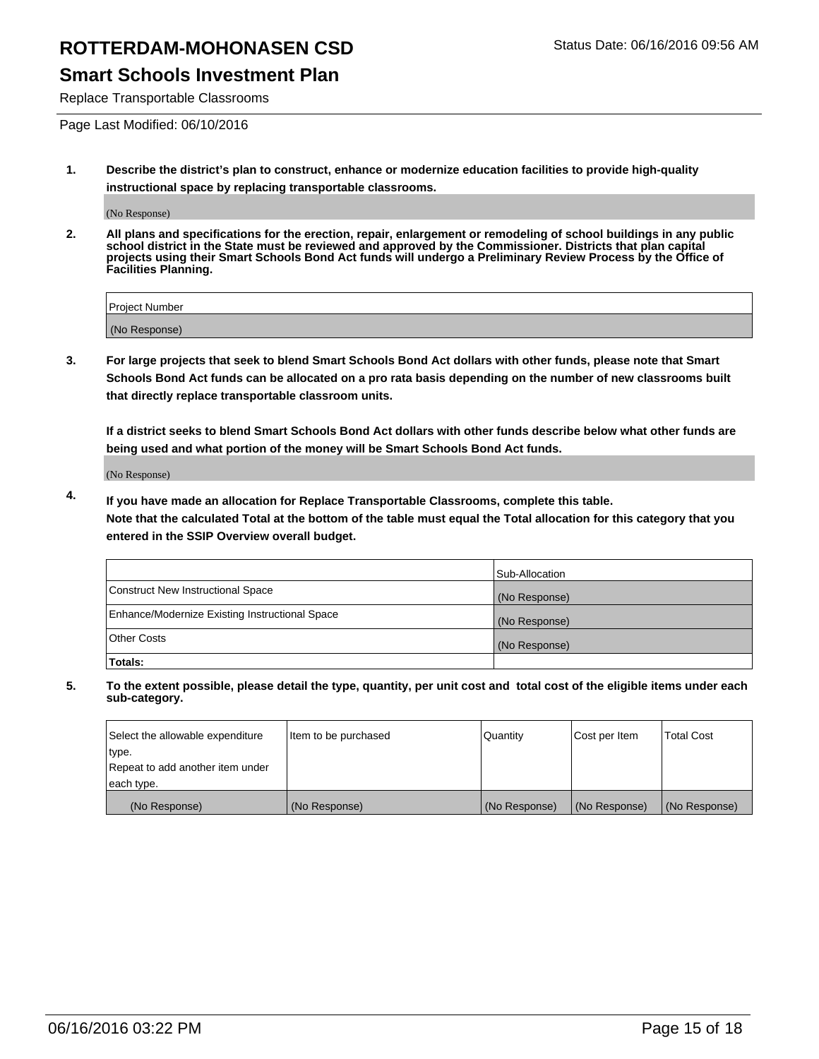### **Smart Schools Investment Plan**

Replace Transportable Classrooms

Page Last Modified: 06/10/2016

**1. Describe the district's plan to construct, enhance or modernize education facilities to provide high-quality instructional space by replacing transportable classrooms.**

(No Response)

**2. All plans and specifications for the erection, repair, enlargement or remodeling of school buildings in any public school district in the State must be reviewed and approved by the Commissioner. Districts that plan capital projects using their Smart Schools Bond Act funds will undergo a Preliminary Review Process by the Office of Facilities Planning.**

| <b>Project Number</b> |  |
|-----------------------|--|
| (No Response)         |  |

**3. For large projects that seek to blend Smart Schools Bond Act dollars with other funds, please note that Smart Schools Bond Act funds can be allocated on a pro rata basis depending on the number of new classrooms built that directly replace transportable classroom units.**

**If a district seeks to blend Smart Schools Bond Act dollars with other funds describe below what other funds are being used and what portion of the money will be Smart Schools Bond Act funds.**

(No Response)

**4. If you have made an allocation for Replace Transportable Classrooms, complete this table. Note that the calculated Total at the bottom of the table must equal the Total allocation for this category that you entered in the SSIP Overview overall budget.**

|                                                | Sub-Allocation |
|------------------------------------------------|----------------|
| Construct New Instructional Space              | (No Response)  |
| Enhance/Modernize Existing Instructional Space | (No Response)  |
| <b>Other Costs</b>                             | (No Response)  |
| Totals:                                        |                |

| Select the allowable expenditure | Item to be purchased | <b>Quantity</b> | Cost per Item | <b>Total Cost</b> |
|----------------------------------|----------------------|-----------------|---------------|-------------------|
| type.                            |                      |                 |               |                   |
| Repeat to add another item under |                      |                 |               |                   |
| each type.                       |                      |                 |               |                   |
| (No Response)                    | (No Response)        | (No Response)   | (No Response) | (No Response)     |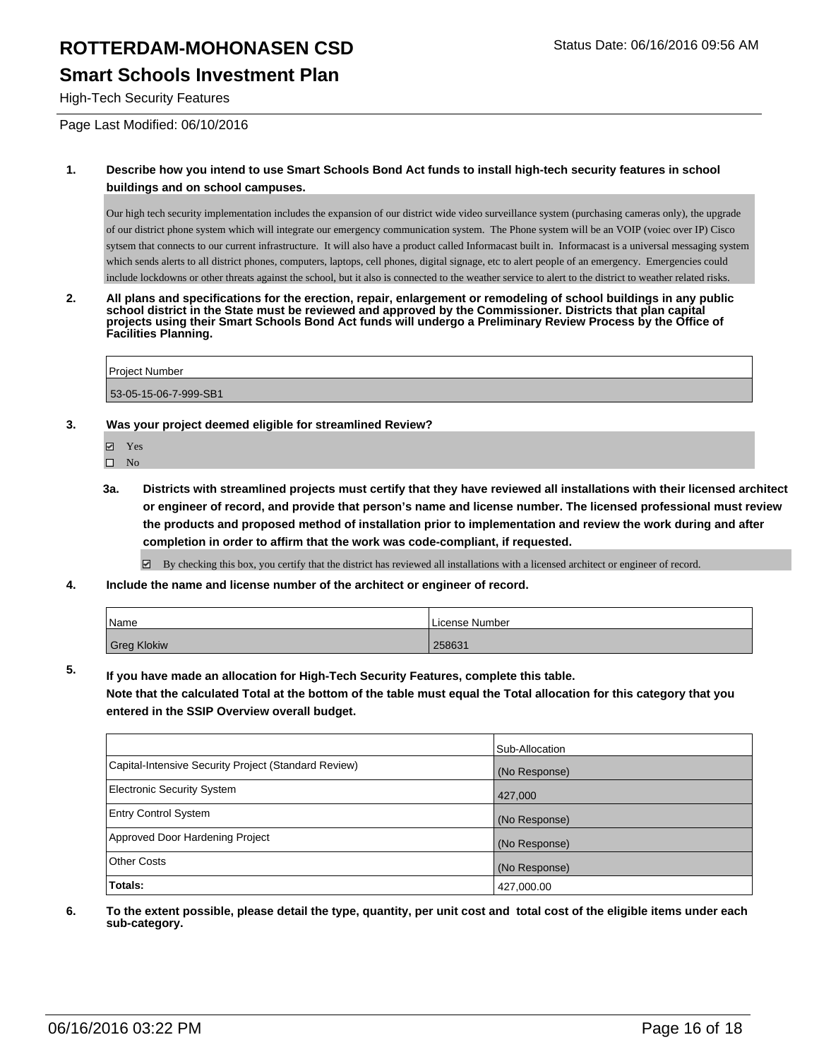### **Smart Schools Investment Plan**

High-Tech Security Features

Page Last Modified: 06/10/2016

#### **1. Describe how you intend to use Smart Schools Bond Act funds to install high-tech security features in school buildings and on school campuses.**

Our high tech security implementation includes the expansion of our district wide video surveillance system (purchasing cameras only), the upgrade of our district phone system which will integrate our emergency communication system. The Phone system will be an VOIP (voiec over IP) Cisco sytsem that connects to our current infrastructure. It will also have a product called Informacast built in. Informacast is a universal messaging system which sends alerts to all district phones, computers, laptops, cell phones, digital signage, etc to alert people of an emergency. Emergencies could include lockdowns or other threats against the school, but it also is connected to the weather service to alert to the district to weather related risks.

**2. All plans and specifications for the erection, repair, enlargement or remodeling of school buildings in any public school district in the State must be reviewed and approved by the Commissioner. Districts that plan capital projects using their Smart Schools Bond Act funds will undergo a Preliminary Review Process by the Office of Facilities Planning.** 

Project Number 53-05-15-06-7-999-SB1

#### **3. Was your project deemed eligible for streamlined Review?**

- **☑** Yes
- $\square$  No
- **3a. Districts with streamlined projects must certify that they have reviewed all installations with their licensed architect or engineer of record, and provide that person's name and license number. The licensed professional must review the products and proposed method of installation prior to implementation and review the work during and after completion in order to affirm that the work was code-compliant, if requested.**

By checking this box, you certify that the district has reviewed all installations with a licensed architect or engineer of record.

**4. Include the name and license number of the architect or engineer of record.**

| 'Name              | License Number |
|--------------------|----------------|
| <b>Greg Klokiw</b> | 258631         |

**5. If you have made an allocation for High-Tech Security Features, complete this table.**

**Note that the calculated Total at the bottom of the table must equal the Total allocation for this category that you entered in the SSIP Overview overall budget.**

|                                                      | Sub-Allocation |
|------------------------------------------------------|----------------|
| Capital-Intensive Security Project (Standard Review) | (No Response)  |
| <b>Electronic Security System</b>                    | 427,000        |
| <b>Entry Control System</b>                          | (No Response)  |
| Approved Door Hardening Project                      | (No Response)  |
| <b>Other Costs</b>                                   | (No Response)  |
| Totals:                                              | 427,000.00     |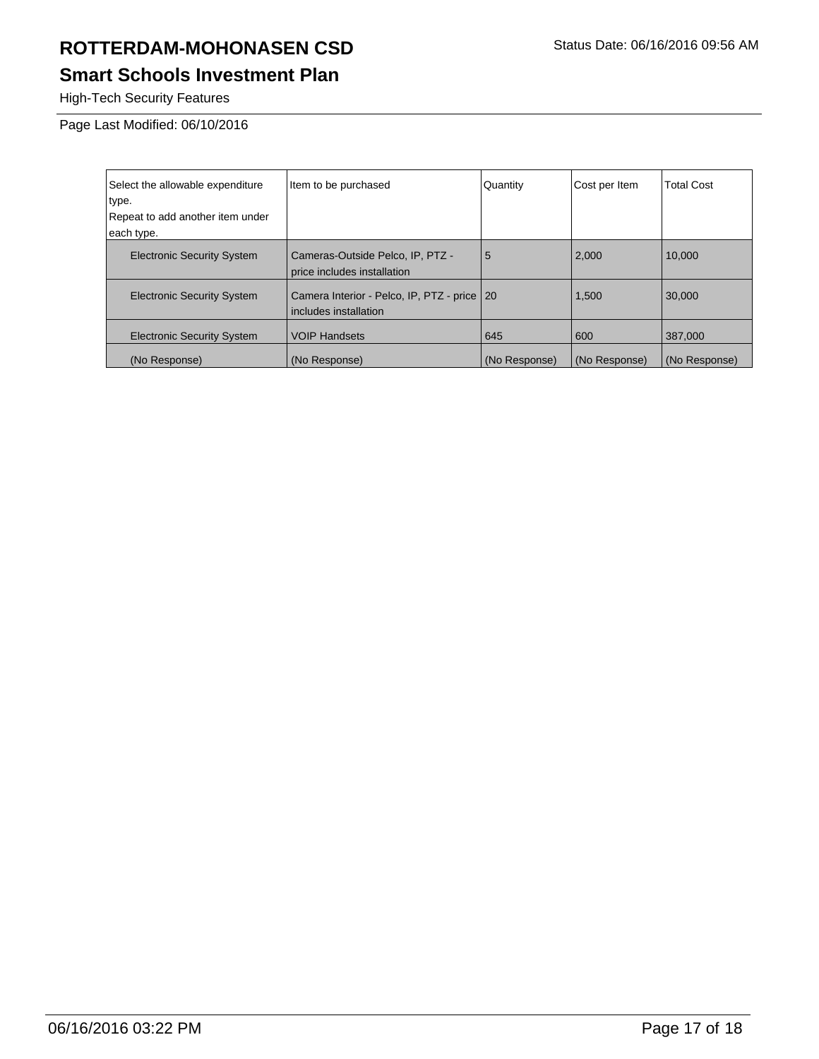## **Smart Schools Investment Plan**

High-Tech Security Features

Page Last Modified: 06/10/2016

| Select the allowable expenditure<br>type.<br>Repeat to add another item under | Item to be purchased                                                   | Quantity      | Cost per Item | <b>Total Cost</b> |
|-------------------------------------------------------------------------------|------------------------------------------------------------------------|---------------|---------------|-------------------|
| each type.                                                                    |                                                                        |               |               |                   |
| <b>Electronic Security System</b>                                             | Cameras-Outside Pelco, IP, PTZ -<br>price includes installation        | 5             | 2,000         | 10.000            |
| <b>Electronic Security System</b>                                             | Camera Interior - Pelco, IP, PTZ - price   20<br>includes installation |               | 1,500         | 30,000            |
| <b>Electronic Security System</b>                                             | <b>VOIP Handsets</b>                                                   | 645           | 600           | 387,000           |
| (No Response)                                                                 | (No Response)                                                          | (No Response) | (No Response) | (No Response)     |